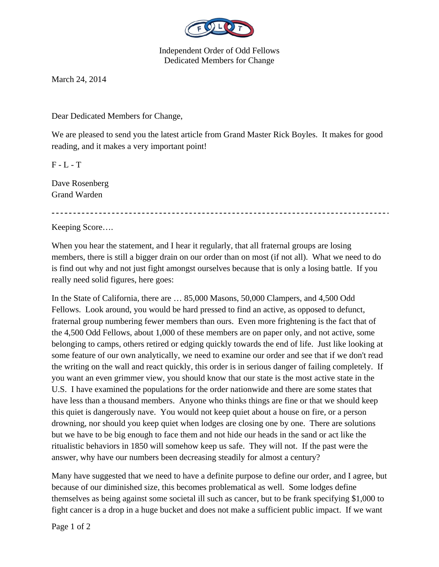

Independent Order of Odd Fellows Dedicated Members for Change

March 24, 2014

Dear Dedicated Members for Change,

We are pleased to send you the latest article from Grand Master Rick Boyles. It makes for good reading, and it makes a very important point!

 $F - L - T$ 

Dave Rosenberg Grand Warden

Keeping Score….

When you hear the statement, and I hear it regularly, that all fraternal groups are losing members, there is still a bigger drain on our order than on most (if not all). What we need to do is find out why and not just fight amongst ourselves because that is only a losing battle. If you really need solid figures, here goes:

In the State of California, there are … 85,000 Masons, 50,000 Clampers, and 4,500 Odd Fellows. Look around, you would be hard pressed to find an active, as opposed to defunct, fraternal group numbering fewer members than ours. Even more frightening is the fact that of the 4,500 Odd Fellows, about 1,000 of these members are on paper only, and not active, some belonging to camps, others retired or edging quickly towards the end of life. Just like looking at some feature of our own analytically, we need to examine our order and see that if we don't read the writing on the wall and react quickly, this order is in serious danger of failing completely. If you want an even grimmer view, you should know that our state is the most active state in the U.S. I have examined the populations for the order nationwide and there are some states that have less than a thousand members. Anyone who thinks things are fine or that we should keep this quiet is dangerously nave. You would not keep quiet about a house on fire, or a person drowning, nor should you keep quiet when lodges are closing one by one. There are solutions but we have to be big enough to face them and not hide our heads in the sand or act like the ritualistic behaviors in 1850 will somehow keep us safe. They will not. If the past were the answer, why have our numbers been decreasing steadily for almost a century?

Many have suggested that we need to have a definite purpose to define our order, and I agree, but because of our diminished size, this becomes problematical as well. Some lodges define themselves as being against some societal ill such as cancer, but to be frank specifying \$1,000 to fight cancer is a drop in a huge bucket and does not make a sufficient public impact. If we want